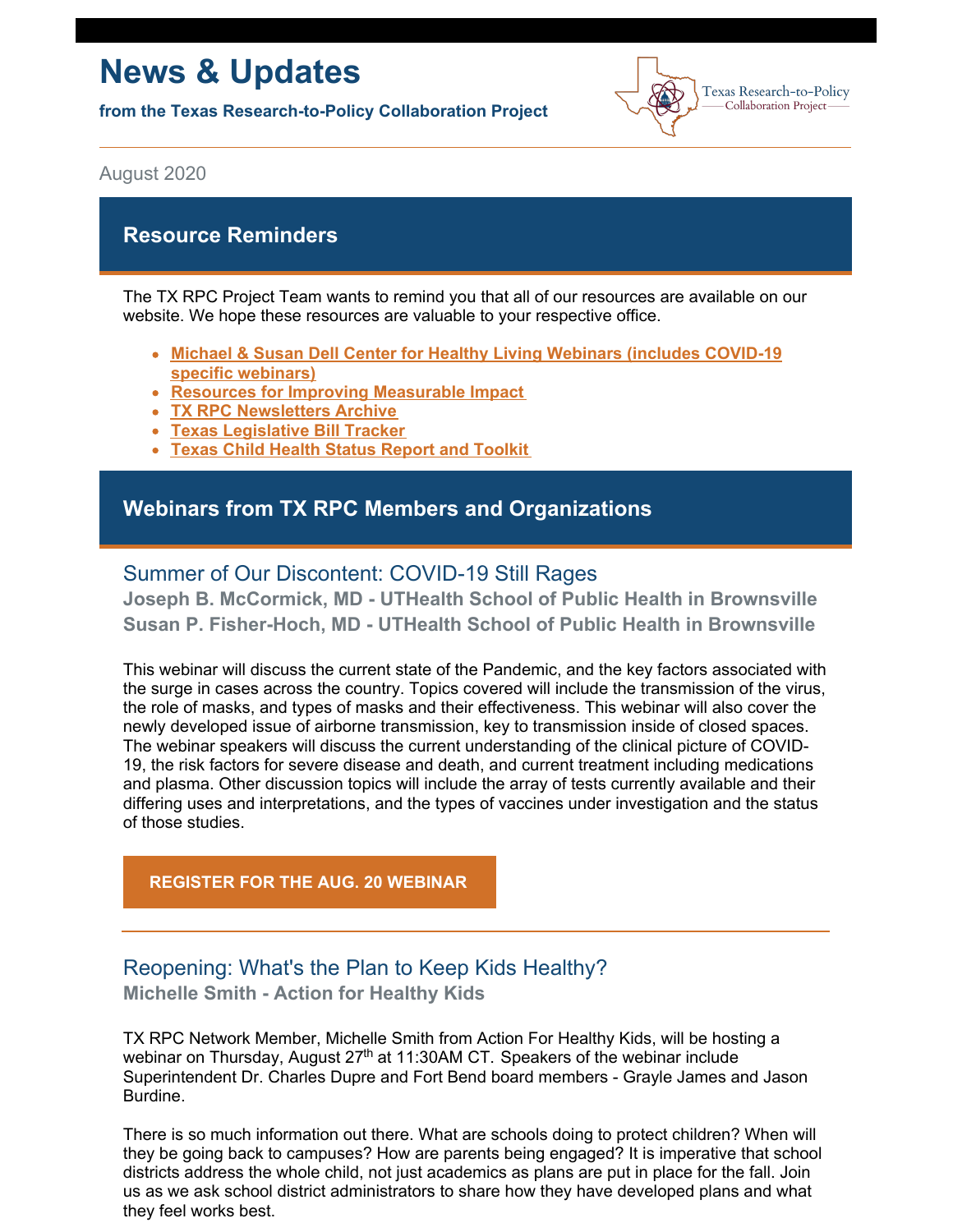# **News & Updates**

**from the Texas Research-to-Policy Collaboration Project**



August 2020

## **Resource Reminders**

The TX RPC Project Team wants to remind you that all of our resources are available on our [w](https://sph.uth.edu/research/centers/dell/webinars/)ebsite. We hope these resources are valuable to your respective office.

- **Michael & Susan Dell Center for Healthy Living [Webinars](https://sph.uth.edu/research/centers/dell/webinars/) (includes COVID-19 specific webinars)**
- **Resources for Improving [Measurable](https://sph.uth.edu/research/centers/dell/legislative-initiatives/texas-rpc-resources) Impact**
- **TX RPC [Newsletters](https://sph.uth.edu/research/centers/dell/legislative-initiatives/rpc-newsletters) Archive**
- **Texas [Legislative](https://sph.uth.edu/research/centers/dell/86th-texas-legislature/) Bill Tracker**
- **Texas Child Health Status Report and [Toolkit](https://sph.uth.edu/research/centers/dell/texas-child-health-status-report/index.htm)**

## **Webinars from TX RPC Members and Organizations**

## Summer of Our Discontent: COVID-19 Still Rages

**Joseph B. McCormick, MD - UTHealth School of Public Health in Brownsville Susan P. Fisher-Hoch, MD - UTHealth School of Public Health in Brownsville**

This webinar will discuss the current state of the Pandemic, and the key factors associated with the surge in cases across the country. Topics covered will include the transmission of the virus, the role of masks, and types of masks and their effectiveness. This webinar will also cover the newly developed issue of airborne transmission, key to transmission inside of closed spaces. The webinar speakers will discuss the current understanding of the clinical picture of COVID-19, the risk factors for severe disease and death, and current treatment including medications and plasma. Other discussion topics will include the array of tests currently available and their differing uses and interpretations, and the types of vaccines under investigation and the status of those studies.

**[REGISTER](https://register.gotowebinar.com/register/1445024769494702091) FOR THE AUG. 20 WEBINAR**

## Reopening: What's the Plan to Keep Kids Healthy? **Michelle Smith - Action for Healthy Kids**

TX RPC Network Member, Michelle Smith from Action For Healthy Kids, will be hosting a webinar on Thursday, August 27<sup>th</sup> at 11:30AM CT. Speakers of the webinar include Superintendent Dr. Charles Dupre and Fort Bend board members - Grayle James and Jason Burdine.

There is so much information out there. What are schools doing to protect children? When will they be going back to campuses? How are parents being engaged? It is imperative that school districts address the whole child, not just academics as plans are put in place for the fall. Join us as we ask school district administrators to share how they have developed plans and what they feel works best.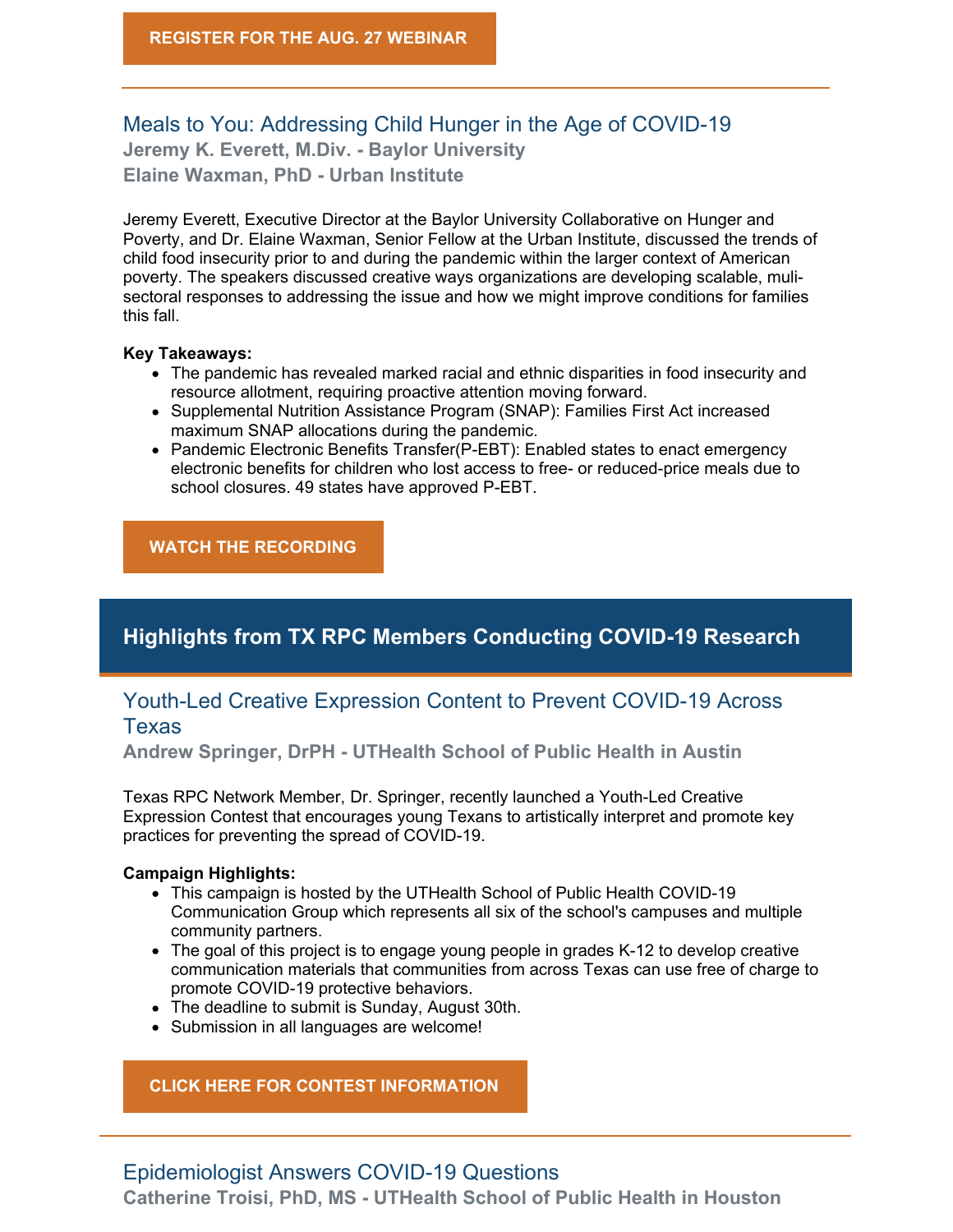## Meals to You: Addressing Child Hunger in the Age of COVID-19 **Jeremy K. Everett, M.Div. - Baylor University Elaine Waxman, PhD - Urban Institute**

Jeremy Everett, Executive Director at the Baylor University Collaborative on Hunger and Poverty, and Dr. Elaine Waxman, Senior Fellow at the Urban Institute, discussed the trends of child food insecurity prior to and during the pandemic within the larger context of American poverty. The speakers discussed creative ways organizations are developing scalable, mulisectoral responses to addressing the issue and how we might improve conditions for families this fall.

#### **Key Takeaways:**

- The pandemic has revealed marked racial and ethnic disparities in food insecurity and resource allotment, requiring proactive attention moving forward.
- Supplemental Nutrition Assistance Program (SNAP): Families First Act increased maximum SNAP allocations during the pandemic.
- Pandemic Electronic Benefits Transfer(P-EBT): Enabled states to enact emergency electronic benefits for children who lost access to free- or reduced-price meals due to school closures. 49 states have approved P-EBT.

#### **WATCH THE [RECORDING](https://sph.uth.edu/research/centers/dell/webinars/webinar.htm?id=7d164cb3-83cd-4056-aa56-8eb44d31f724)**

# **Highlights from TX RPC Members Conducting COVID-19 Research**

## Youth-Led Creative Expression Content to Prevent COVID-19 Across **Texas**

**Andrew Springer, DrPH - UTHealth School of Public Health in Austin**

Texas RPC Network Member, Dr. Springer, recently launched a Youth-Led Creative Expression Contest that encourages young Texans to artistically interpret and promote key practices for preventing the spread of COVID-19.

#### **Campaign Highlights:**

- This campaign is hosted by the UTHealth School of Public Health COVID-19 Communication Group which represents all six of the school's campuses and multiple community partners.
- The goal of this project is to engage young people in grades K-12 to develop creative communication materials that communities from across Texas can use free of charge to promote COVID-19 protective behaviors.
- The deadline to submit is Sunday, August 30th.
- Submission in all languages are welcome!

**CLICK HERE FOR CONTEST [INFORMATION](https://sph.uth.edu/landing/covid-youth/)**

#### Epidemiologist Answers COVID-19 Questions

**Catherine Troisi, PhD, MS - UTHealth School of Public Health in Houston**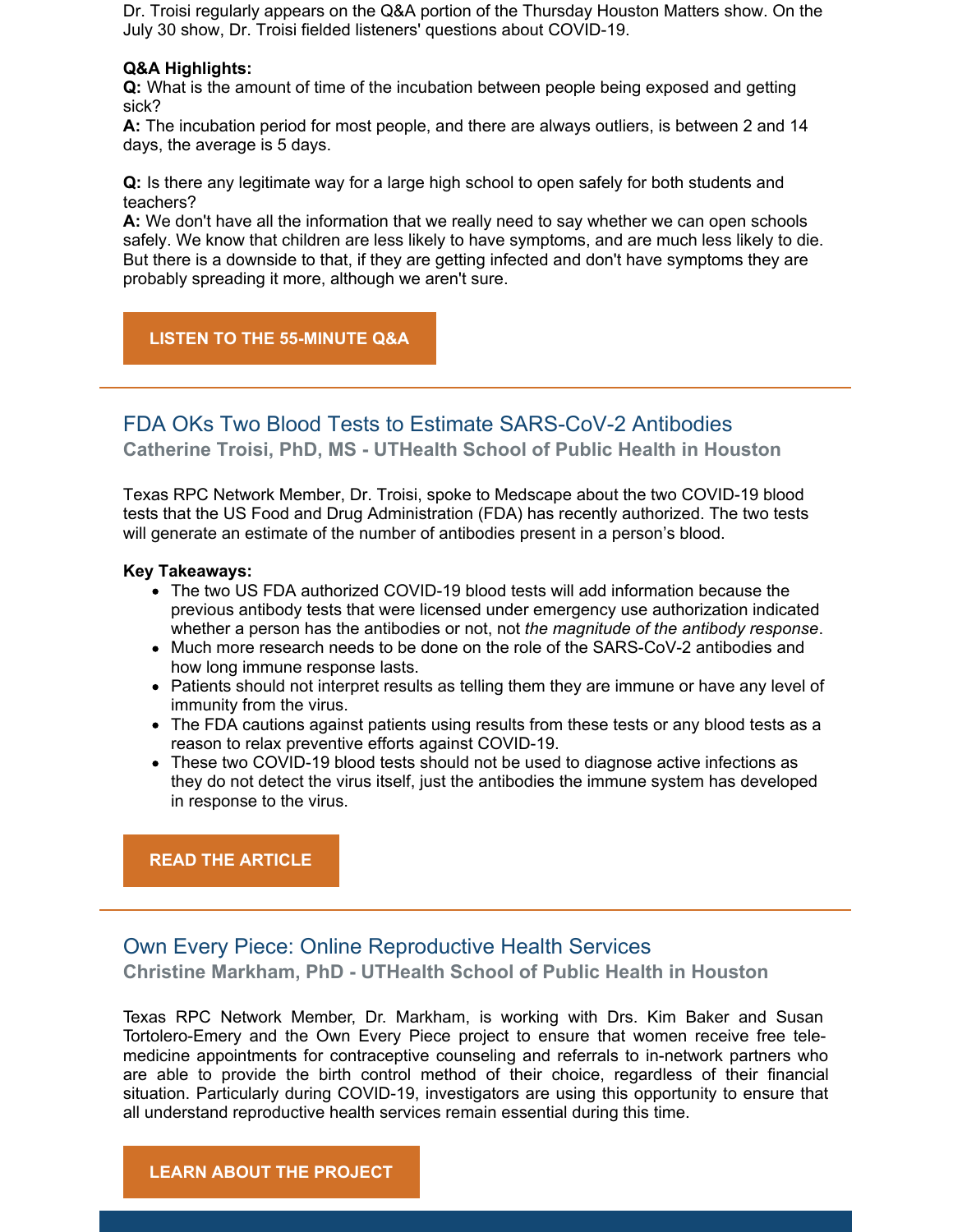Dr. Troisi regularly appears on the Q&A portion of the Thursday Houston Matters show. On the July 30 show, Dr. Troisi fielded listeners' questions about COVID-19.

#### **Q&A Highlights:**

**Q:** What is the amount of time of the incubation between people being exposed and getting sick?

**A:** The incubation period for most people, and there are always outliers, is between 2 and 14 days, the average is 5 days.

**Q:** Is there any legitimate way for a large high school to open safely for both students and teachers?

**A:** We don't have all the information that we really need to say whether we can open schools safely. We know that children are less likely to have symptoms, and are much less likely to die. But there is a downside to that, if they are getting infected and don't have symptoms they are probably spreading it more, although we aren't sure.

#### **LISTEN TO THE [55-MINUTE](https://www.houstonpublicmedia.org/articles/shows/houston-matters/2020/07/30/378879/special-edition-tony-green-and-dr-catherine-troisi-july-30-2020/?utm_source=rss-houston-matters-article&utm_medium=link&utm_campaign=hpm-rss-link) Q&A**

## FDA OKs Two Blood Tests to Estimate SARS-CoV-2 Antibodies **Catherine Troisi, PhD, MS - UTHealth School of Public Health in Houston**

Texas RPC Network Member, Dr. Troisi, spoke to Medscape about the two COVID-19 blood tests that the US Food and Drug Administration (FDA) has recently authorized. The two tests will generate an estimate of the number of antibodies present in a person's blood.

#### **Key Takeaways:**

- The two US FDA authorized COVID-19 blood tests will add information because the previous antibody tests that were licensed under emergency use authorization indicated whether a person has the antibodies or not, not *the magnitude of the antibody response*.
- Much more research needs to be done on the role of the SARS-CoV-2 antibodies and how long immune response lasts.
- Patients should not interpret results as telling them they are immune or have any level of immunity from the virus.
- The FDA cautions against patients using results from these tests or any blood tests as a reason to relax preventive efforts against COVID-19.
- These two COVID-19 blood tests should not be used to diagnose active infections as they do not detect the virus itself, just the antibodies the immune system has developed in response to the virus.

#### **READ THE [ARTICLE](https://www.medscape.com/viewarticle/935090)**

#### Own Every Piece: Online Reproductive Health Services

**Christine Markham, PhD - UTHealth School of Public Health in Houston**

Texas RPC Network Member, Dr. Markham, is working with Drs. Kim Baker and Susan Tortolero-Emery and the Own Every Piece project to ensure that women receive free telemedicine appointments for contraceptive counseling and referrals to in-network partners who are able to provide the birth control method of their choice, regardless of their financial situation. Particularly during COVID-19, investigators are using this opportunity to ensure that all understand reproductive health services remain essential during this time.

#### **LEARN ABOUT THE [PROJECT](https://www.owneverypiece.com/)**